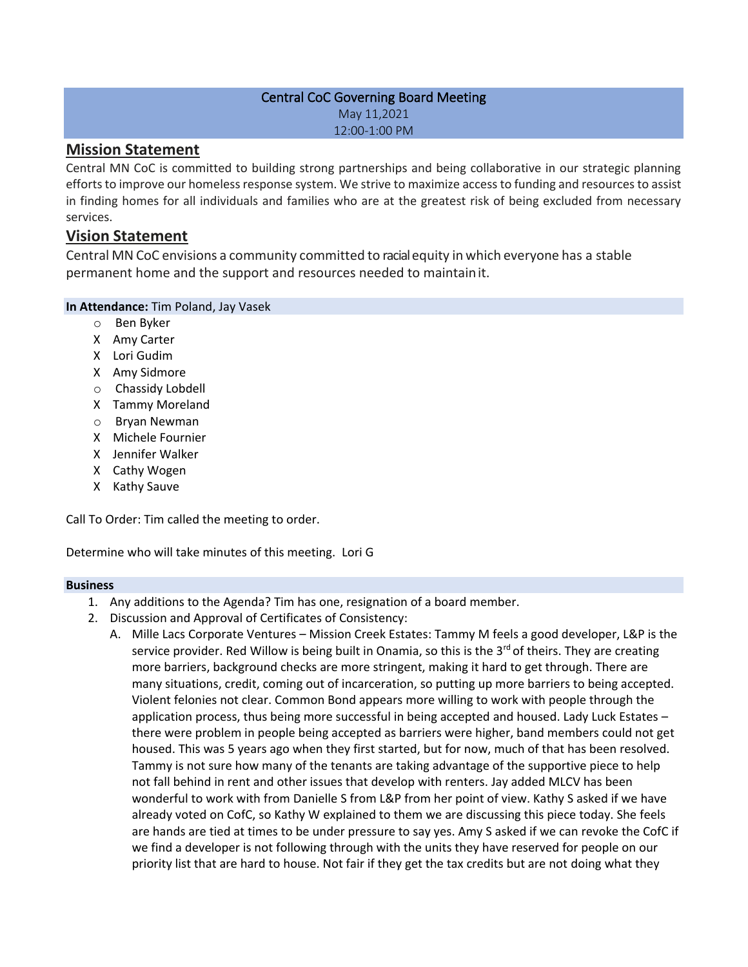## Central CoC Governing Board Meeting May 11,2021 12:00-1:00 PM

# **Mission Statement**

Central MN CoC is committed to building strong partnerships and being collaborative in our strategic planning efforts to improve our homeless response system. We strive to maximize access to funding and resources to assist in finding homes for all individuals and families who are at the greatest risk of being excluded from necessary services.

# **Vision Statement**

Central MNCoC envisions a community committed to racialequity in which everyone has a stable permanent home and the support and resources needed to maintainit.

### **In Attendance:** Tim Poland, Jay Vasek

- o Ben Byker
- X Amy Carter
- X Lori Gudim
- X Amy Sidmore
- o Chassidy Lobdell
- X Tammy Moreland
- o Bryan Newman
- X Michele Fournier
- X Jennifer Walker
- X Cathy Wogen
- X Kathy Sauve

Call To Order: Tim called the meeting to order.

Determine who will take minutes of this meeting. Lori G

### **Business**

- 1. Any additions to the Agenda? Tim has one, resignation of a board member.
- 2. Discussion and Approval of Certificates of Consistency:
	- A. Mille Lacs Corporate Ventures Mission Creek Estates: Tammy M feels a good developer, L&P is the service provider. Red Willow is being built in Onamia, so this is the  $3^{rd}$  of theirs. They are creating more barriers, background checks are more stringent, making it hard to get through. There are many situations, credit, coming out of incarceration, so putting up more barriers to being accepted. Violent felonies not clear. Common Bond appears more willing to work with people through the application process, thus being more successful in being accepted and housed. Lady Luck Estates – there were problem in people being accepted as barriers were higher, band members could not get housed. This was 5 years ago when they first started, but for now, much of that has been resolved. Tammy is not sure how many of the tenants are taking advantage of the supportive piece to help not fall behind in rent and other issues that develop with renters. Jay added MLCV has been wonderful to work with from Danielle S from L&P from her point of view. Kathy S asked if we have already voted on CofC, so Kathy W explained to them we are discussing this piece today. She feels are hands are tied at times to be under pressure to say yes. Amy S asked if we can revoke the CofC if we find a developer is not following through with the units they have reserved for people on our priority list that are hard to house. Not fair if they get the tax credits but are not doing what they